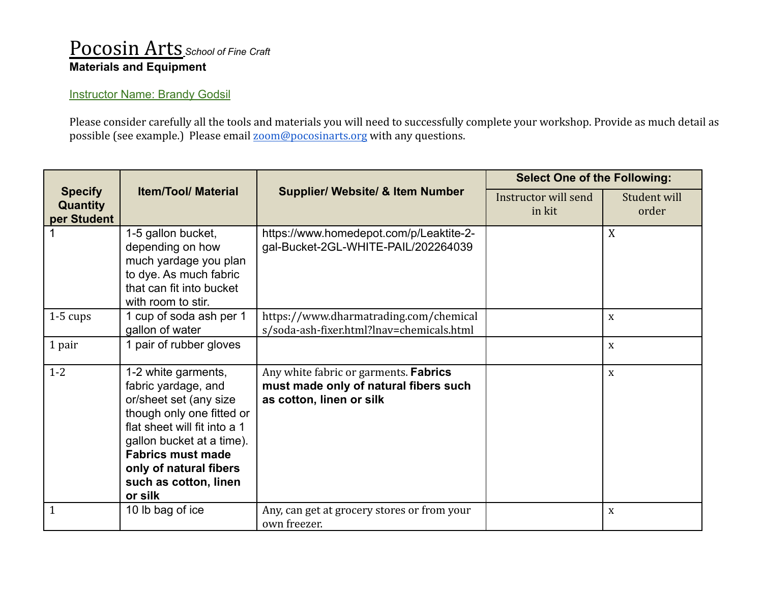## Pocosin Arts *School of Fine Craft* **Materials and Equipment**

## **Instructor Name: Brandy Godsil**

Please consider carefully all the tools and materials you will need to successfully complete your workshop. Provide as much detail as possible (see example.) Please email [zoom@pocosinarts.org](mailto:zoom@pocosinarts.org) with any questions.

| <b>Specify</b><br><b>Quantity</b><br>per Student | <b>Item/Tool/ Material</b>                                                                                                                                                                                                                               | <b>Supplier/ Website/ &amp; Item Number</b>                                                                | <b>Select One of the Following:</b> |                       |
|--------------------------------------------------|----------------------------------------------------------------------------------------------------------------------------------------------------------------------------------------------------------------------------------------------------------|------------------------------------------------------------------------------------------------------------|-------------------------------------|-----------------------|
|                                                  |                                                                                                                                                                                                                                                          |                                                                                                            | Instructor will send<br>in kit      | Student will<br>order |
|                                                  | 1-5 gallon bucket,<br>depending on how<br>much yardage you plan<br>to dye. As much fabric<br>that can fit into bucket<br>with room to stir.                                                                                                              | https://www.homedepot.com/p/Leaktite-2-<br>gal-Bucket-2GL-WHITE-PAIL/202264039                             |                                     | X                     |
| $1-5$ cups                                       | 1 cup of soda ash per 1<br>gallon of water                                                                                                                                                                                                               | https://www.dharmatrading.com/chemical<br>s/soda-ash-fixer.html?lnav=chemicals.html                        |                                     | X                     |
| 1 pair                                           | 1 pair of rubber gloves                                                                                                                                                                                                                                  |                                                                                                            |                                     | $\mathbf X$           |
| $1 - 2$                                          | 1-2 white garments,<br>fabric yardage, and<br>or/sheet set (any size<br>though only one fitted or<br>flat sheet will fit into a 1<br>gallon bucket at a time).<br><b>Fabrics must made</b><br>only of natural fibers<br>such as cotton, linen<br>or silk | Any white fabric or garments. Fabrics<br>must made only of natural fibers such<br>as cotton, linen or silk |                                     | X                     |
|                                                  | 10 lb bag of ice                                                                                                                                                                                                                                         | Any, can get at grocery stores or from your<br>own freezer.                                                |                                     | X                     |